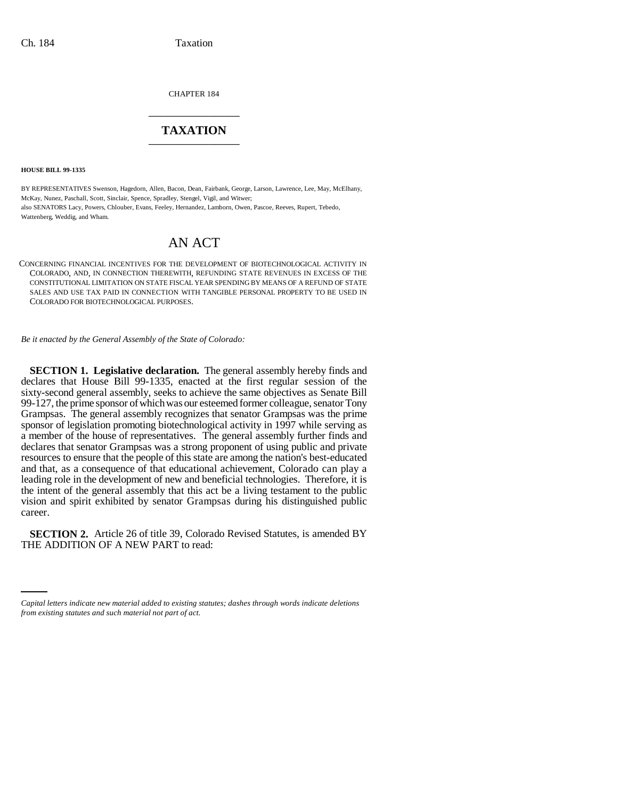CHAPTER 184 \_\_\_\_\_\_\_\_\_\_\_\_\_\_\_

# **TAXATION** \_\_\_\_\_\_\_\_\_\_\_\_\_\_\_

**HOUSE BILL 99-1335** 

BY REPRESENTATIVES Swenson, Hagedorn, Allen, Bacon, Dean, Fairbank, George, Larson, Lawrence, Lee, May, McElhany, McKay, Nunez, Paschall, Scott, Sinclair, Spence, Spradley, Stengel, Vigil, and Witwer; also SENATORS Lacy, Powers, Chlouber, Evans, Feeley, Hernandez, Lamborn, Owen, Pascoe, Reeves, Rupert, Tebedo, Wattenberg, Weddig, and Wham.

# AN ACT

CONCERNING FINANCIAL INCENTIVES FOR THE DEVELOPMENT OF BIOTECHNOLOGICAL ACTIVITY IN COLORADO, AND, IN CONNECTION THEREWITH, REFUNDING STATE REVENUES IN EXCESS OF THE CONSTITUTIONAL LIMITATION ON STATE FISCAL YEAR SPENDING BY MEANS OF A REFUND OF STATE SALES AND USE TAX PAID IN CONNECTION WITH TANGIBLE PERSONAL PROPERTY TO BE USED IN COLORADO FOR BIOTECHNOLOGICAL PURPOSES.

*Be it enacted by the General Assembly of the State of Colorado:*

**SECTION 1. Legislative declaration.** The general assembly hereby finds and declares that House Bill 99-1335, enacted at the first regular session of the sixty-second general assembly, seeks to achieve the same objectives as Senate Bill 99-127, the prime sponsor of which was our esteemed former colleague, senator Tony Grampsas. The general assembly recognizes that senator Grampsas was the prime sponsor of legislation promoting biotechnological activity in 1997 while serving as a member of the house of representatives. The general assembly further finds and declares that senator Grampsas was a strong proponent of using public and private resources to ensure that the people of this state are among the nation's best-educated and that, as a consequence of that educational achievement, Colorado can play a leading role in the development of new and beneficial technologies. Therefore, it is the intent of the general assembly that this act be a living testament to the public vision and spirit exhibited by senator Grampsas during his distinguished public career.

**SECTION 2.** Afficie 20 of the 39, Colora<br>THE ADDITION OF A NEW PART to read: **SECTION 2.** Article 26 of title 39, Colorado Revised Statutes, is amended BY

*Capital letters indicate new material added to existing statutes; dashes through words indicate deletions from existing statutes and such material not part of act.*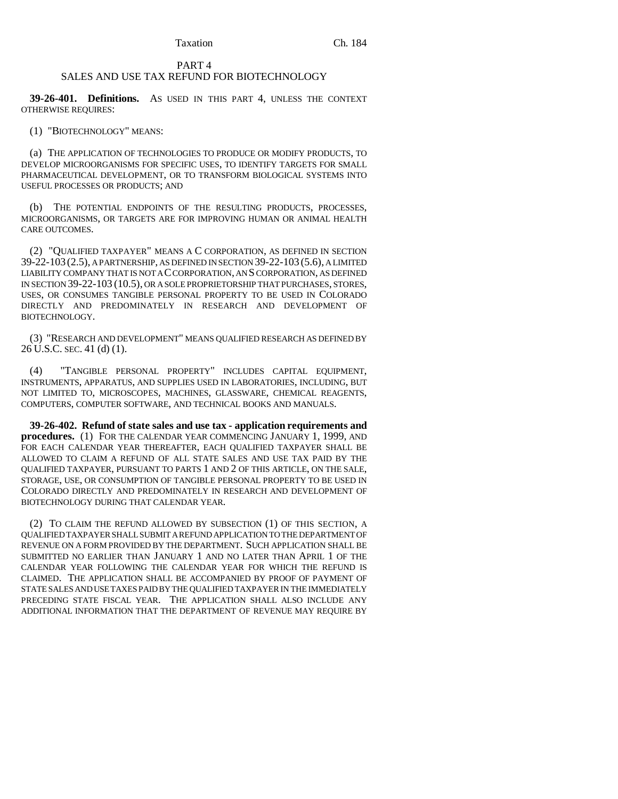Taxation Ch. 184

### PART 4 SALES AND USE TAX REFUND FOR BIOTECHNOLOGY

**39-26-401. Definitions.** AS USED IN THIS PART 4, UNLESS THE CONTEXT OTHERWISE REQUIRES:

(1) "BIOTECHNOLOGY" MEANS:

(a) THE APPLICATION OF TECHNOLOGIES TO PRODUCE OR MODIFY PRODUCTS, TO DEVELOP MICROORGANISMS FOR SPECIFIC USES, TO IDENTIFY TARGETS FOR SMALL PHARMACEUTICAL DEVELOPMENT, OR TO TRANSFORM BIOLOGICAL SYSTEMS INTO USEFUL PROCESSES OR PRODUCTS; AND

(b) THE POTENTIAL ENDPOINTS OF THE RESULTING PRODUCTS, PROCESSES, MICROORGANISMS, OR TARGETS ARE FOR IMPROVING HUMAN OR ANIMAL HEALTH CARE OUTCOMES.

(2) "QUALIFIED TAXPAYER" MEANS A C CORPORATION, AS DEFINED IN SECTION 39-22-103 (2.5), A PARTNERSHIP, AS DEFINED IN SECTION 39-22-103 (5.6), A LIMITED LIABILITY COMPANY THAT IS NOT A C CORPORATION, AN S CORPORATION, AS DEFINED IN SECTION 39-22-103 (10.5), OR A SOLE PROPRIETORSHIP THAT PURCHASES, STORES, USES, OR CONSUMES TANGIBLE PERSONAL PROPERTY TO BE USED IN COLORADO DIRECTLY AND PREDOMINATELY IN RESEARCH AND DEVELOPMENT OF BIOTECHNOLOGY.

(3) "RESEARCH AND DEVELOPMENT" MEANS QUALIFIED RESEARCH AS DEFINED BY 26 U.S.C. SEC. 41 (d) (1).

(4) "TANGIBLE PERSONAL PROPERTY" INCLUDES CAPITAL EQUIPMENT, INSTRUMENTS, APPARATUS, AND SUPPLIES USED IN LABORATORIES, INCLUDING, BUT NOT LIMITED TO, MICROSCOPES, MACHINES, GLASSWARE, CHEMICAL REAGENTS, COMPUTERS, COMPUTER SOFTWARE, AND TECHNICAL BOOKS AND MANUALS.

**39-26-402. Refund of state sales and use tax - application requirements and procedures.** (1) FOR THE CALENDAR YEAR COMMENCING JANUARY 1, 1999, AND FOR EACH CALENDAR YEAR THEREAFTER, EACH QUALIFIED TAXPAYER SHALL BE ALLOWED TO CLAIM A REFUND OF ALL STATE SALES AND USE TAX PAID BY THE QUALIFIED TAXPAYER, PURSUANT TO PARTS 1 AND 2 OF THIS ARTICLE, ON THE SALE, STORAGE, USE, OR CONSUMPTION OF TANGIBLE PERSONAL PROPERTY TO BE USED IN COLORADO DIRECTLY AND PREDOMINATELY IN RESEARCH AND DEVELOPMENT OF BIOTECHNOLOGY DURING THAT CALENDAR YEAR.

(2) TO CLAIM THE REFUND ALLOWED BY SUBSECTION (1) OF THIS SECTION, A QUALIFIED TAXPAYER SHALL SUBMIT A REFUND APPLICATION TO THE DEPARTMENT OF REVENUE ON A FORM PROVIDED BY THE DEPARTMENT. SUCH APPLICATION SHALL BE SUBMITTED NO EARLIER THAN JANUARY 1 AND NO LATER THAN APRIL 1 OF THE CALENDAR YEAR FOLLOWING THE CALENDAR YEAR FOR WHICH THE REFUND IS CLAIMED. THE APPLICATION SHALL BE ACCOMPANIED BY PROOF OF PAYMENT OF STATE SALES AND USE TAXES PAID BY THE QUALIFIED TAXPAYER IN THE IMMEDIATELY PRECEDING STATE FISCAL YEAR. THE APPLICATION SHALL ALSO INCLUDE ANY ADDITIONAL INFORMATION THAT THE DEPARTMENT OF REVENUE MAY REQUIRE BY